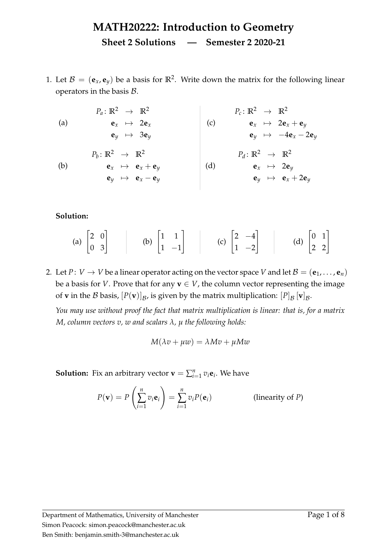<span id="page-0-3"></span><span id="page-0-0"></span>1. Let  $B = (\mathbf{e}_x, \mathbf{e}_y)$  be a basis for  $\mathbb{R}^2$ . Write down the matrix for the following linear operators in the basis  $B$ .

<span id="page-0-2"></span><span id="page-0-1"></span>

| $P_a: \mathbb{R}^2 \to \mathbb{R}^2$                      | $P_c: \mathbb{R}^2 \to \mathbb{R}^2$               |                                      |                                                     |
|-----------------------------------------------------------|----------------------------------------------------|--------------------------------------|-----------------------------------------------------|
| (a)                                                       | $\mathbf{e}_x \mapsto 2\mathbf{e}_x$               | (c)                                  | $\mathbf{e}_x \mapsto 2\mathbf{e}_x + \mathbf{e}_y$ |
| $\mathbf{e}_y \mapsto 3\mathbf{e}_y$                      | (d)                                                | $P_d: \mathbb{R}^2 \to \mathbb{R}^2$ |                                                     |
| (b)                                                       | $\mathbf{e}_x \mapsto \mathbf{e}_x + \mathbf{e}_y$ | (d)                                  | $\mathbf{e}_x \mapsto 2\mathbf{e}_y$                |
| $\mathbf{e}_y \mapsto \mathbf{e}_x \mapsto 2\mathbf{e}_y$ | (e)                                                | $\mathbf{e}_x \mapsto 2\mathbf{e}_y$ |                                                     |
| $\mathbf{e}_y \mapsto \mathbf{e}_x - \mathbf{e}_y$        | (d)                                                | $\mathbf{e}_x \mapsto 2\mathbf{e}_y$ |                                                     |

**Solution:**

(a) 
$$
\begin{bmatrix} 2 & 0 \\ 0 & 3 \end{bmatrix}
$$
 (b)  $\begin{bmatrix} 1 & 1 \\ 1 & -1 \end{bmatrix}$  (c)  $\begin{bmatrix} 2 & -4 \\ 1 & -2 \end{bmatrix}$  (d)  $\begin{bmatrix} 0 & 1 \\ 2 & 2 \end{bmatrix}$ 

2. Let *P*: *V*  $\rightarrow$  *V* be a linear operator acting on the vector space *V* and let  $\mathcal{B} = (\mathbf{e}_1, \dots, \mathbf{e}_n)$ be a basis for *V*. Prove that for any  $\mathbf{v} \in V$ , the column vector representing the image of **v** in the  $\mathcal B$  basis,  $[P(\mathbf v)]_{\mathcal B}$ , is given by the matrix multiplication:  $[P]_{\mathcal B}$   $[\mathbf v]_{\mathcal B}$ .

*You may use without proof the fact that matrix multiplication is linear: that is, for a matrix M, column vectors v, w and scalars λ, µ the following holds:*

$$
M(\lambda v + \mu w) = \lambda Mv + \mu Mw
$$

**Solution:** Fix an arbitrary vector  $\mathbf{v} = \sum_{i=1}^{n} v_i \mathbf{e}_i$ . We have

$$
P(\mathbf{v}) = P\left(\sum_{i=1}^{n} v_i \mathbf{e}_i\right) = \sum_{i=1}^{n} v_i P(\mathbf{e}_i)
$$
 (linearity of *P*)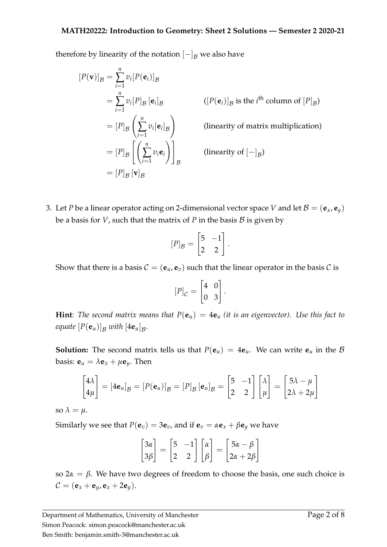therefore by linearity of the notation  $[-]_B$  we also have

$$
[P(\mathbf{v})]_{\mathcal{B}} = \sum_{i=1}^{n} v_i [P(\mathbf{e}_i)]_{\mathcal{B}}
$$
  
\n
$$
= \sum_{i=1}^{n} v_i [P]_{\mathcal{B}} [\mathbf{e}_i]_{\mathcal{B}}
$$
  
\n
$$
= [P]_{\mathcal{B}} \left( \sum_{i=1}^{n} v_i [\mathbf{e}_i]_{\mathcal{B}} \right)
$$
  
\n
$$
= [P]_{\mathcal{B}} \left( \sum_{i=1}^{n} v_i [\mathbf{e}_i]_{\mathcal{B}} \right)
$$
  
\n
$$
= [P]_{\mathcal{B}} \left[ \left( \sum_{i=1}^{n} v_i \mathbf{e}_i \right) \right]_{\mathcal{B}}
$$
  
\n
$$
= [P]_{\mathcal{B}} [\mathbf{v}]_{\mathcal{B}}
$$
  
\n
$$
(linearity of [-]_{\mathcal{B}})
$$
  
\n
$$
= [P]_{\mathcal{B}} [\mathbf{v}]_{\mathcal{B}}
$$

3. Let *P* be a linear operator acting on 2-dimensional vector space *V* and let  $B = (\mathbf{e}_x, \mathbf{e}_y)$ be a basis for *V*, such that the matrix of *P* in the basis  $B$  is given by

$$
[P]_{\mathcal{B}} = \begin{bmatrix} 5 & -1 \\ 2 & 2 \end{bmatrix}.
$$

Show that there is a basis  $C = (\mathbf{e}_u, \mathbf{e}_v)$  such that the linear operator in the basis C is

$$
[P]_{\mathcal{C}} = \begin{bmatrix} 4 & 0 \\ 0 & 3 \end{bmatrix}.
$$

**Hint**: *The second matrix means that*  $P(e_u) = 4e_u$  *(it is an eigenvector).* Use this fact to *equate*  $[P(\mathbf{e}_u)]_{\mathcal{B}}$  with  $[4\mathbf{e}_u]_{\mathcal{B}}$ .

**Solution:** The second matrix tells us that  $P(\mathbf{e}_u) = 4\mathbf{e}_u$ . We can write  $\mathbf{e}_u$  in the  $\beta$ basis:  $\mathbf{e}_u = \lambda \mathbf{e}_x + \mu \mathbf{e}_y$ . Then

$$
\begin{bmatrix} 4\lambda \\ 4\mu \end{bmatrix} = [4\mathbf{e}_u]_{\mathcal{B}} = [P(\mathbf{e}_u)]_{\mathcal{B}} = [P]_{\mathcal{B}} [\mathbf{e}_u]_{\mathcal{B}} = \begin{bmatrix} 5 & -1 \\ 2 & 2 \end{bmatrix} \begin{bmatrix} \lambda \\ \mu \end{bmatrix} = \begin{bmatrix} 5\lambda - \mu \\ 2\lambda + 2\mu \end{bmatrix}
$$

so  $\lambda = \mu$ .

Similarly we see that  $P(\mathbf{e}_v) = 3\mathbf{e}_v$ , and if  $\mathbf{e}_v = \alpha \mathbf{e}_x + \beta \mathbf{e}_v$  we have

$$
\begin{bmatrix} 3\alpha \\ 3\beta \end{bmatrix} = \begin{bmatrix} 5 & -1 \\ 2 & 2 \end{bmatrix} \begin{bmatrix} \alpha \\ \beta \end{bmatrix} = \begin{bmatrix} 5\alpha - \beta \\ 2\alpha + 2\beta \end{bmatrix}
$$

so 2*α* = *β*. We have two degrees of freedom to choose the basis, one such choice is  $C = (e_x + e_y, e_x + 2e_y).$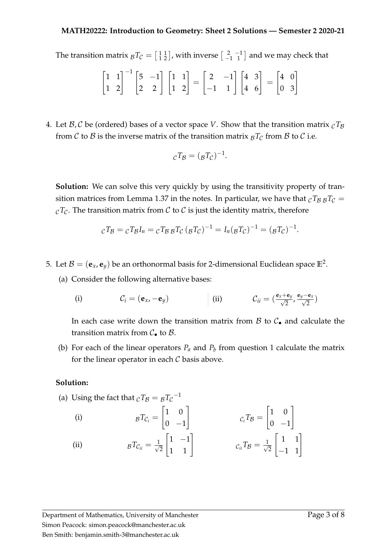The transition matrix  ${}_{\mathcal{B}}T_{\mathcal{C}} = \left[\begin{smallmatrix} 1 & 1 \ 1 & 2 \end{smallmatrix}\right]$ , with inverse  $\left[\begin{smallmatrix} 2 & -1 \ -1 & 1 \end{smallmatrix}\right]$  and we may check that

$$
\begin{bmatrix} 1 & 1 \\ 1 & 2 \end{bmatrix}^{-1} \begin{bmatrix} 5 & -1 \\ 2 & 2 \end{bmatrix} \begin{bmatrix} 1 & 1 \\ 1 & 2 \end{bmatrix} = \begin{bmatrix} 2 & -1 \\ -1 & 1 \end{bmatrix} \begin{bmatrix} 4 & 3 \\ 4 & 6 \end{bmatrix} = \begin{bmatrix} 4 & 0 \\ 0 & 3 \end{bmatrix}
$$

4. Let  $\mathcal{B}, \mathcal{C}$  be (ordered) bases of a vector space *V*. Show that the transition matrix  $_{\mathcal{C}}T_{\mathcal{B}}$ from C to B is the inverse matrix of the transition matrix  $B_T$  from B to C i.e.

$$
{}_{\mathcal{C}}T_{\mathcal{B}} = (\mathcal{B}T_{\mathcal{C}})^{-1}.
$$

**Solution:** We can solve this very quickly by using the transitivity property of tran-sition matrices from Lemma [1.37](#page-0-0) in the notes. In particular, we have that  ${}_{\mathcal{C}}T_{\mathcal{B} \mathcal{B}}T_{\mathcal{C}} =$  $cT_c$ . The transition matrix from C to C is just the identity matrix, therefore

$$
{}_{\mathcal{C}}T_{\mathcal{B}} = {}_{\mathcal{C}}T_{\mathcal{B}}I_n = {}_{\mathcal{C}}T_{\mathcal{B}} {}_{\mathcal{B}}T_{\mathcal{C}} ({}_{\mathcal{B}}T_{\mathcal{C}})^{-1} = I_n({}_{\mathcal{B}}T_{\mathcal{C}})^{-1} = ({}_{\mathcal{B}}T_{\mathcal{C}})^{-1}.
$$

5. Let  $\mathcal{B} = (\mathbf{e}_x, \mathbf{e}_y)$  be an orthonormal basis for 2-dimensional Euclidean space  $\mathbb{E}^2$ .

(a) Consider the following alternative bases:

(i) 
$$
C_i = (\mathbf{e}_x, -\mathbf{e}_y)
$$
 (ii)  $C_{ii} = (\frac{\mathbf{e}_x + \mathbf{e}_y}{\sqrt{2}}, \frac{\mathbf{e}_y - \mathbf{e}_x}{\sqrt{2}})$ 

In each case write down the transition matrix from  $\beta$  to  $\mathcal{C}_{\bullet}$  and calculate the transition matrix from  $C_{\bullet}$  to  $B$ .

(b) For e[a](#page-0-1)ch of the linear operators  $P_a$  and  $P_b$  $P_b$  from question [1](#page-0-3) calculate the matrix for the linear operator in each  $C$  basis above.

## **Solution:**

<span id="page-2-1"></span><span id="page-2-0"></span>(a) Using the fact that 
$$
{}_{\mathcal{C}}T_{\mathcal{B}} = {}_{\mathcal{B}}T_{\mathcal{C}}^{-1}
$$
\n(i) 
$$
{}_{\mathcal{B}}T_{\mathcal{C}_i} = \begin{bmatrix} 1 & 0 \\ 0 & -1 \end{bmatrix} \qquad \qquad c_iT_{\mathcal{B}} = \begin{bmatrix} 1 & 0 \\ 0 & -1 \end{bmatrix}
$$
\n(ii) 
$$
{}_{\mathcal{B}}T_{\mathcal{C}_{ii}} = \frac{1}{\sqrt{2}} \begin{bmatrix} 1 & -1 \\ 1 & 1 \end{bmatrix} \qquad \qquad c_{ii}T_{\mathcal{B}} = \frac{1}{\sqrt{2}} \begin{bmatrix} 1 & 1 \\ -1 & 1 \end{bmatrix}
$$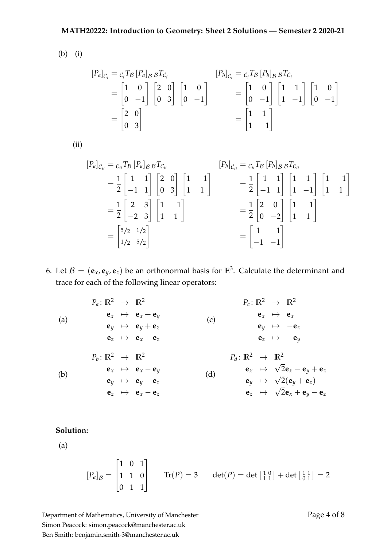(b) (i)

$$
\begin{aligned}\n[P_a]_{C_i} &= c_i T_B [P_a]_{B} B T_{C_i} \\
&= \begin{bmatrix} 1 & 0 \\ 0 & -1 \end{bmatrix} \begin{bmatrix} 2 & 0 \\ 0 & 3 \end{bmatrix} \begin{bmatrix} 1 & 0 \\ 0 & -1 \end{bmatrix} \\
&= \begin{bmatrix} 1 & 0 \\ 0 & -1 \end{bmatrix} \begin{bmatrix} 1 & 0 \\ 0 & -1 \end{bmatrix} \\
&= \begin{bmatrix} 1 & 0 \\ 0 & -1 \end{bmatrix} \begin{bmatrix} 1 & 1 \\ 1 & -1 \end{bmatrix} \begin{bmatrix} 1 & 0 \\ 0 & -1 \end{bmatrix} \\
&= \begin{bmatrix} 1 & 1 \\ 1 & -1 \end{bmatrix}\n\end{aligned}
$$

(ii)

$$
[P_a]_{C_{ii}} = c_{ii} T_B [P_a]_{B B} T_{C_{ii}}
$$
  
\n
$$
= \frac{1}{2} \begin{bmatrix} 1 & 1 \\ -1 & 1 \end{bmatrix} \begin{bmatrix} 2 & 0 \\ 0 & 3 \end{bmatrix} \begin{bmatrix} 1 & -1 \\ 1 & 1 \end{bmatrix}
$$
  
\n
$$
= \frac{1}{2} \begin{bmatrix} 2 & 3 \\ -2 & 3 \end{bmatrix} \begin{bmatrix} 1 & -1 \\ 1 & 1 \end{bmatrix}
$$
  
\n
$$
= \begin{bmatrix} 5/2 & 1/2 \\ 1/2 & 5/2 \end{bmatrix}
$$
  
\n
$$
= \begin{bmatrix} 1 & -1 \\ -1 & -1 \end{bmatrix}
$$
  
\n
$$
= \begin{bmatrix} 1 & -1 \\ -1 & -1 \end{bmatrix}
$$
  
\n
$$
= \begin{bmatrix} 1 & -1 \\ -1 & -1 \end{bmatrix}
$$
  
\n
$$
= \begin{bmatrix} 1 & -1 \\ -1 & -1 \end{bmatrix}
$$

<span id="page-3-0"></span>6. Let  $B = (\mathbf{e}_x, \mathbf{e}_y, \mathbf{e}_z)$  be an orthonormal basis for  $\mathbb{E}^3$ . Calculate the determinant and trace for each of the following linear operators:

<span id="page-3-4"></span><span id="page-3-3"></span><span id="page-3-2"></span><span id="page-3-1"></span>

| $P_a: \mathbb{R}^2 \rightarrow \mathbb{R}^2$           | $P_c: \mathbb{R}^2 \rightarrow \mathbb{R}^2$                      |                                                                                |                                         |
|--------------------------------------------------------|-------------------------------------------------------------------|--------------------------------------------------------------------------------|-----------------------------------------|
| (a)                                                    | $\mathbf{e}_x \rightarrow \mathbf{e}_x + \mathbf{e}_y$            | (c)                                                                            | $\mathbf{e}_x \rightarrow \mathbf{e}_x$ |
| $\mathbf{e}_y \rightarrow \mathbf{e}_y + \mathbf{e}_z$ | (d)                                                               | $\mathbf{e}_z \rightarrow \mathbb{R}^2$                                        |                                         |
| $P_b: \mathbb{R}^2 \rightarrow \mathbb{R}^2$           | $P_d: \mathbb{R}^2 \rightarrow \mathbb{R}^2$                      |                                                                                |                                         |
| (b)                                                    | $\mathbf{e}_x \rightarrow \mathbf{e}_x - \mathbf{e}_y$            | $P_d: \mathbb{R}^2 \rightarrow \mathbb{R}^2$                                   |                                         |
| (c)                                                    | $\mathbf{e}_x \rightarrow \mathbf{e}_x$                           |                                                                                |                                         |
| $\mathbf{e}_y \rightarrow -\mathbf{e}_z$               | $\mathbf{e}_z \rightarrow -\mathbf{e}_y$                          |                                                                                |                                         |
| $\mathbf{e}_z \rightarrow -\mathbf{e}_y$               | $P_d: \mathbb{R}^2 \rightarrow \mathbb{R}^2$                      |                                                                                |                                         |
| $\mathbf{e}_y \rightarrow \mathbf{e}_y - \mathbf{e}_z$ | (d)                                                               | $\mathbf{e}_x \rightarrow \sqrt{2} \mathbf{e}_x - \mathbf{e}_y + \mathbf{e}_z$ |                                         |
| $\mathbf{e}_z \rightarrow \mathbf{e}_x - \mathbf{e}_z$ | $\mathbf{e}_y \rightarrow \sqrt{2} (\mathbf{e}_y + \mathbf{e}_z)$ |                                                                                |                                         |
| $\mathbf{e}_z \rightarrow \mathbf{e}_x - \mathbf{e}_z$ | $\mathbf{e}_z \rightarrow \sqrt{2} \mathbf{e}_x + \mathbf$        |                                                                                |                                         |

# **Solution:**

(a)

$$
[P_a]_B = \begin{bmatrix} 1 & 0 & 1 \\ 1 & 1 & 0 \\ 0 & 1 & 1 \end{bmatrix} \qquad \text{Tr}(P) = 3 \qquad \det(P) = \det\begin{bmatrix} 1 & 0 \\ 1 & 1 \end{bmatrix} + \det\begin{bmatrix} 1 & 1 \\ 0 & 1 \end{bmatrix} = 2
$$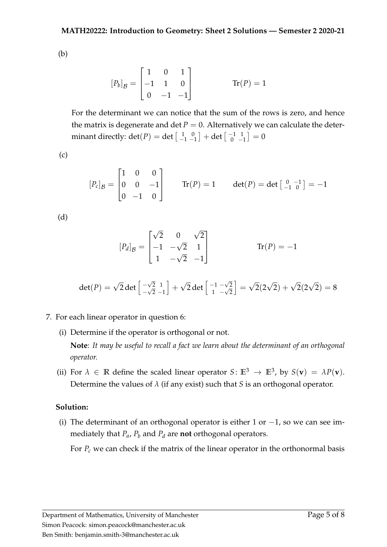(b)

$$
[P_b]_B = \begin{bmatrix} 1 & 0 & 1 \\ -1 & 1 & 0 \\ 0 & -1 & -1 \end{bmatrix}
$$
 Tr(P) = 1

For the determinant we can notice that the sum of the rows is zero, and hence the matrix is degenerate and det  $P = 0$ . Alternatively we can calculate the determinant directly:  $\det(P) = \det\left[\begin{smallmatrix} 1 & 0\ -1 & -1 \end{smallmatrix}\right] + \det\left[\begin{smallmatrix} -1 & 1\ 0 & - \end{smallmatrix}\right]$  $\begin{bmatrix} -1 & 1 \\ 0 & -1 \end{bmatrix} = 0$ 

(c)

$$
[P_c]_B = \begin{bmatrix} 1 & 0 & 0 \\ 0 & 0 & -1 \\ 0 & -1 & 0 \end{bmatrix} \quad \text{Tr}(P) = 1 \quad \text{det}(P) = \text{det} \begin{bmatrix} 0 & -1 \\ -1 & 0 \end{bmatrix} = -1
$$

(d)

$$
[P_d]_B = \begin{bmatrix} \sqrt{2} & 0 & \sqrt{2} \\ -1 & -\sqrt{2} & 1 \\ 1 & -\sqrt{2} & -1 \end{bmatrix}
$$
 Tr(P) = -1

$$
det(P) = \sqrt{2} det \begin{bmatrix} -\sqrt{2} & 1 \\ -\sqrt{2} & -1 \end{bmatrix} + \sqrt{2} det \begin{bmatrix} -1 & -\sqrt{2} \\ 1 & -\sqrt{2} \end{bmatrix} = \sqrt{2}(2\sqrt{2}) + \sqrt{2}(2\sqrt{2}) = 8
$$

- 7. For each linear operator in question [6:](#page-3-0)
	- (i) Determine if the operator is orthogonal or not.

**Note**: *It may be useful to recall a fact we learn about the determinant of an orthogonal operator.*

(ii) For  $\lambda \in \mathbb{R}$  define the scaled linear operator  $S: \mathbb{E}^3 \to \mathbb{E}^3$ , by  $S(\mathbf{v}) = \lambda P(\mathbf{v})$ . Determine the values of *λ* (if any exist) such that *S* is an orthogonal operator.

# **Solution:**

(i) The determinant of an orthogonal operator is either 1 or  $-1$ , so we can see immedi[a](#page-3-1)tely that  $P_a$ ,  $P_b$  $P_b$  an[d](#page-3-3)  $P_d$  are **not** orthogonal operators.

For *P[c](#page-3-4)* we can check if the matrix of the linear operator in the orthonormal basis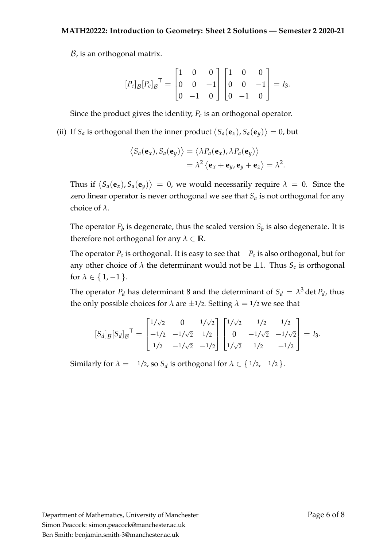$B$ , is an orthogonal matrix.

$$
[P_c]_B[P_c]_B^{\mathsf{T}} = \begin{bmatrix} 1 & 0 & 0 \\ 0 & 0 & -1 \\ 0 & -1 & 0 \end{bmatrix} \begin{bmatrix} 1 & 0 & 0 \\ 0 & 0 & -1 \\ 0 & -1 & 0 \end{bmatrix} = I_3.
$$

Since the product gives the identity, *P[c](#page-3-4)* is an orthogonal operator.

(ii) If  $S_a$  $S_a$  is orthogonal then the inner product  $\langle S_a(\mathbf{e}_x), S_a(\mathbf{e}_y) \rangle = 0$ , but

$$
\langle S_a(\mathbf{e}_x), S_a(\mathbf{e}_y) \rangle = \langle \lambda P_a(\mathbf{e}_x), \lambda P_a(\mathbf{e}_y) \rangle
$$
  
=  $\lambda^2 \langle \mathbf{e}_x + \mathbf{e}_y, \mathbf{e}_y + \mathbf{e}_z \rangle = \lambda^2.$ 

Thus if  $\big\langle S_a({\bf e}_x), S_a({\bf e}_y) \big\rangle = 0$  $\big\langle S_a({\bf e}_x), S_a({\bf e}_y) \big\rangle = 0$  $\big\langle S_a({\bf e}_x), S_a({\bf e}_y) \big\rangle = 0$ , we would necessarily require  $\lambda = 0$ . Since the zero linear operator is never orthogonal we see that *S[a](#page-3-1)* is not orthogonal for any choice of *λ*.

The operator  $P_b$  $P_b$  is degenerate, thus the scaled version  $S_b$  is also degenerate. It is therefore not orthogonal for any  $\lambda \in \mathbb{R}$ .

The operator *P[c](#page-3-4)* is orthogonal. It is easy to see that −*P[c](#page-3-4)* is also orthogonal, but for any other [c](#page-3-4)hoice of  $\lambda$  the determinant would not be  $\pm 1$ . Thus  $S_c$  is orthogonal for  $\lambda \in \{1, -1\}$ .

The operator  $P_d$  $P_d$  has determinant 8 and the determinant of  $S_d = \lambda^3$  det  $P_d$ , thus the only possible choices for  $\lambda$  are  $\pm 1/2$ . Setting  $\lambda = 1/2$  we see that

$$
[S_d]_B [S_d]_B^{\mathsf{T}} = \begin{bmatrix} 1/\sqrt{2} & 0 & 1/\sqrt{2} \\ -1/2 & -1/\sqrt{2} & 1/2 \\ 1/2 & -1/\sqrt{2} & -1/2 \end{bmatrix} \begin{bmatrix} 1/\sqrt{2} & -1/2 & 1/2 \\ 0 & -1/\sqrt{2} & -1/\sqrt{2} \\ 1/\sqrt{2} & 1/2 & -1/2 \end{bmatrix} = I_3.
$$

Similarly for  $\lambda = -1/2$  $\lambda = -1/2$  $\lambda = -1/2$ , so  $S_d$  is orthogonal for  $\lambda \in \{1/2, -1/2\}$ .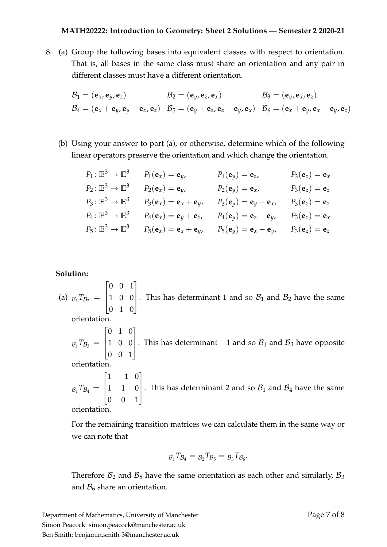<span id="page-6-0"></span>8. (a) Group the following bases into equivalent classes with respect to orientation. That is, all bases in the same class must share an orientation and any pair in different classes must have a different orientation.

$$
\mathcal{B}_1 = (\mathbf{e}_x, \mathbf{e}_y, \mathbf{e}_z) \qquad \qquad \mathcal{B}_2 = (\mathbf{e}_y, \mathbf{e}_z, \mathbf{e}_x) \qquad \qquad \mathcal{B}_3 = (\mathbf{e}_y, \mathbf{e}_x, \mathbf{e}_z) \n\mathcal{B}_4 = (\mathbf{e}_x + \mathbf{e}_y, \mathbf{e}_y - \mathbf{e}_x, \mathbf{e}_z) \qquad \qquad \mathcal{B}_5 = (\mathbf{e}_y + \mathbf{e}_z, \mathbf{e}_z - \mathbf{e}_y, \mathbf{e}_x) \qquad \qquad \mathcal{B}_6 = (\mathbf{e}_x + \mathbf{e}_y, \mathbf{e}_x - \mathbf{e}_y, \mathbf{e}_z)
$$

(b) Using your answer to part [\(a\)](#page-6-0), or otherwise, determine which of the following linear operators preserve the orientation and which change the orientation.

| $P_1: \mathbb{E}^3 \to \mathbb{E}^3$ | $P_1(\mathbf{e}_x)=\mathbf{e}_y$                  | $P_1({\bf e}_y)={\bf e}_z$           | $P_3(e_z) = e_x$ |
|--------------------------------------|---------------------------------------------------|--------------------------------------|------------------|
| $P_2: \mathbb{E}^3 \to \mathbb{E}^3$ | $P_2(e_x) = e_y$                                  | $P_2({\bf e}_y)={\bf e}_{x}$         | $P_3(e_z) = e_z$ |
| $P_3: \mathbb{E}^3 \to \mathbb{E}^3$ | $P_3(\mathbf{e}_x) = \mathbf{e}_x + \mathbf{e}_y$ | $P_3({\bf e}_y)={\bf e}_y-{\bf e}_x$ | $P_3(e_z) = e_z$ |
| $P_4: \mathbb{E}^3 \to \mathbb{E}^3$ | $P_4(e_x) = e_y + e_z$                            | $P_4({\bf e}_y)={\bf e}_z-{\bf e}_y$ | $P_3(e_z) = e_x$ |
| $P_5: \mathbb{E}^3 \to \mathbb{E}^3$ | $P_5(\mathbf{e}_x) = \mathbf{e}_x + \mathbf{e}_y$ | $P_5({\bf e}_y)={\bf e}_x-{\bf e}_y$ | $P_3(e_z) = e_z$ |

### **Solution:**

(a)  $B_1 T_{B_2} =$  $\sqrt{ }$  $\parallel$ 0 0 1 1 0 0 0 1 0 1 . This has determinant 1 and so  $B_1$  and  $B_2$  have the same orientation.  $B_1 T_{B_3} =$  $\sqrt{ }$  $\vert$ 0 1 0 1 0 0 0 0 1 1 . This has determinant −1 and so  $B_1$  and  $B_3$  have opposite orientation.  $B_1 T_{B_4} =$  $\sqrt{ }$  $\left| \right|$  $1 -1 0$ 1 1 0 0 0 1 1 . This has determinant 2 and so  $B_1$  and  $B_4$  have the same

orientation.

For the remaining transition matrices we can calculate them in the same way or we can note that

$$
g_1Tg_4=g_2Tg_5=g_3Tg_6.
$$

Therefore  $B_2$  and  $B_5$  have the same orientation as each other and similarly,  $B_3$ and  $\mathcal{B}_6$  share an orientation.